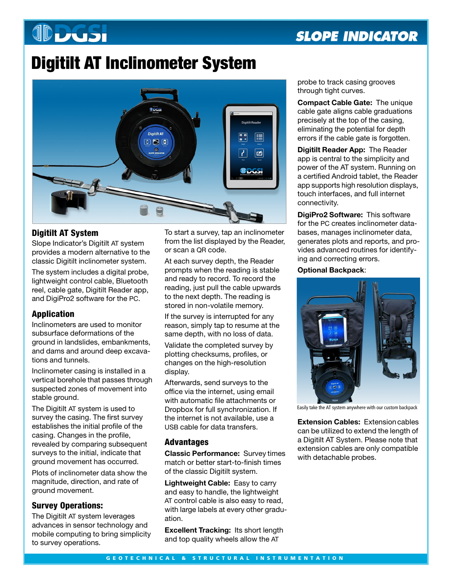# **JDDGSI**

# **SLOPE INDICATOR**

# **Digitilt AT Inclinometer System**



# **Digitilt AT System**

Slope Indicator's Digitilt AT system provides a modern alternative to the classic Digitilt inclinometer system.

The system includes a digital probe, lightweight control cable, Bluetooth reel, cable gate, Digitilt Reader app, and DigiPro2 software for the PC.

# **Application**

Inclinometers are used to monitor subsurface deformations of the ground in landslides, embankments, and dams and around deep excavations and tunnels.

Inclinometer casing is installed in a vertical borehole that passes through suspected zones of movement into stable ground.

The Digitilt AT system is used to survey the casing. The first survey establishes the initial profile of the casing. Changes in the profile, revealed by comparing subsequent surveys to the initial, indicate that ground movement has occurred.

Plots of inclinometer data show the magnitude, direction, and rate of ground movement.

# **Survey Operations:**

The Digitilt AT system leverages advances in sensor technology and mobile computing to bring simplicity to survey operations.

To start a survey, tap an inclinometer from the list displayed by the Reader, or scan a QR code.

At each survey depth, the Reader prompts when the reading is stable and ready to record. To record the reading, just pull the cable upwards to the next depth. The reading is stored in non-volatile memory.

If the survey is interrupted for any reason, simply tap to resume at the same depth, with no loss of data.

Validate the completed survey by plotting checksums, profiles, or changes on the high-resolution display.

Afterwards, send surveys to the office via the internet, using email with automatic file attachments or Dropbox for full synchronization. If the internet is not available, use a USB cable for data transfers.

# **Advantages**

**Classic Performance:** Survey times match or better start-to-finish times of the classic Digitilt system.

**Lightweight Cable:** Easy to carry and easy to handle, the lightweight AT control cable is also easy to read, with large labels at every other graduation.

**Excellent Tracking:** Its short length and top quality wheels allow the AT

probe to track casing grooves through tight curves.

**Compact Cable Gate:** The unique cable gate aligns cable graduations precisely at the top of the casing, eliminating the potential for depth errors if the cable gate is forgotten.

**Digitilt Reader App:** The Reader app is central to the simplicity and power of the AT system. Running on a certified Android tablet, the Reader app supports high resolution displays, touch interfaces, and full internet connectivity.

**DigiPro2 Software:** This software for the PC creates inclinometer databases, manages inclinometer data, generates plots and reports, and provides advanced routines for identifying and correcting errors.

**Optional Backpack**:



Easily take the AT system anywhere with our custom backpack

**Extension Cables:** Extension cables can be utilized to extend the length of a Digitilt AT System. Please note that extension cables are only compatible with detachable probes.